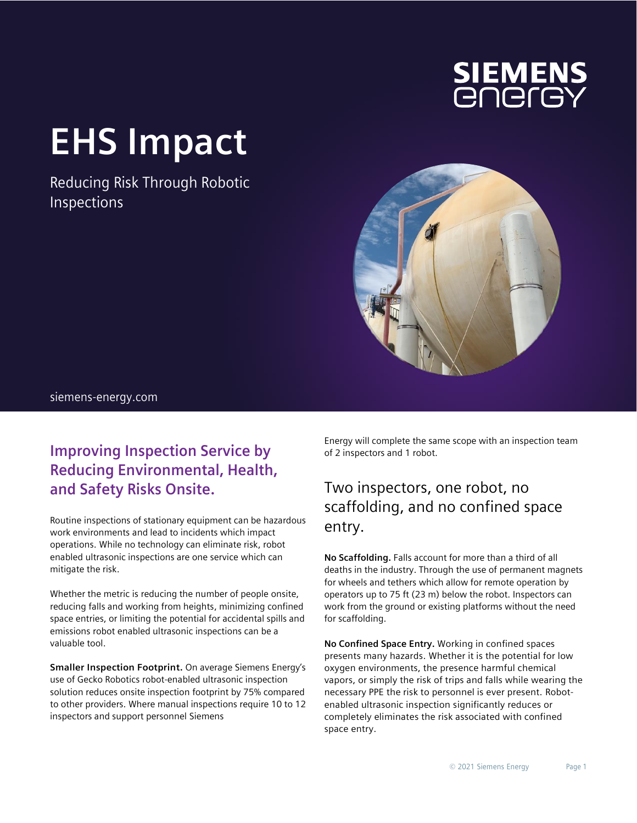

# **EHS Impact**

Reducing Risk Through Robotic Inspections



### siemens-energy.com

## **Improving Inspection Service by Reducing Environmental, Health, and Safety Risks Onsite.**

Routine inspections of stationary equipment can be hazardous work environments and lead to incidents which impact operations. While no technology can eliminate risk, robot enabled ultrasonic inspections are one service which can mitigate the risk.

Whether the metric is reducing the number of people onsite, reducing falls and working from heights, minimizing confined space entries, or limiting the potential for accidental spills and emissions robot enabled ultrasonic inspections can be a valuable tool.

**Smaller Inspection Footprint.** On average Siemens Energy's use of Gecko Robotics robot-enabled ultrasonic inspection solution reduces onsite inspection footprint by 75% compared to other providers. Where manual inspections require 10 to 12 inspectors and support personnel Siemens

Energy will complete the same scope with an inspection team of 2 inspectors and 1 robot.

## Two inspectors, one robot, no scaffolding, and no confined space entry.

**No Scaffolding.** Falls account for more than a third of all deaths in the industry. Through the use of permanent magnets for wheels and tethers which allow for remote operation by operators up to 75 ft (23 m) below the robot. Inspectors can work from the ground or existing platforms without the need for scaffolding.

**No Confined Space Entry.** Working in confined spaces presents many hazards. Whether it is the potential for low oxygen environments, the presence harmful chemical vapors, or simply the risk of trips and falls while wearing the necessary PPE the risk to personnel is ever present. Robotenabled ultrasonic inspection significantly reduces or completely eliminates the risk associated with confined space entry.